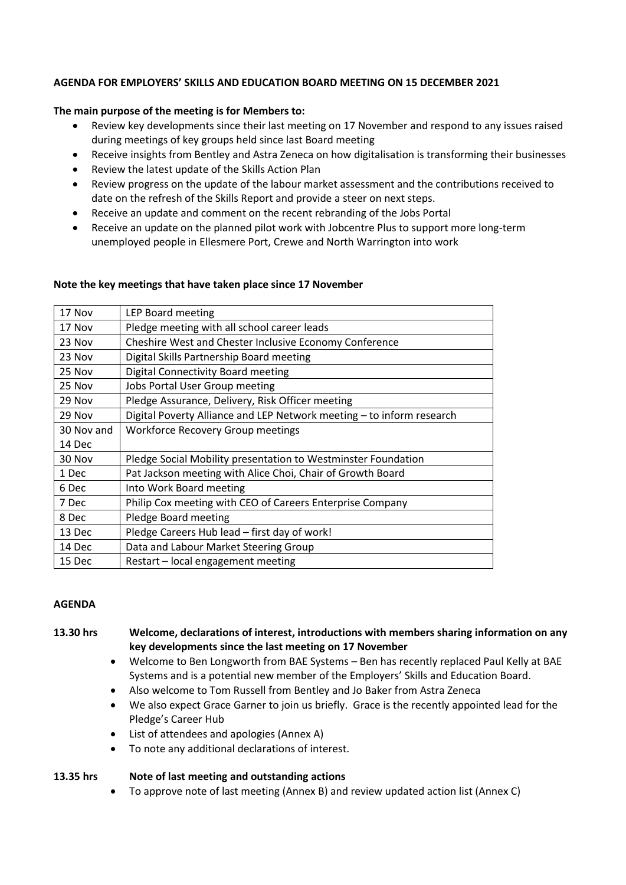#### **AGENDA FOR EMPLOYERS' SKILLS AND EDUCATION BOARD MEETING ON 15 DECEMBER 2021**

## **The main purpose of the meeting is for Members to:**

- Review key developments since their last meeting on 17 November and respond to any issues raised during meetings of key groups held since last Board meeting
- Receive insights from Bentley and Astra Zeneca on how digitalisation is transforming their businesses
- Review the latest update of the Skills Action Plan
- Review progress on the update of the labour market assessment and the contributions received to date on the refresh of the Skills Report and provide a steer on next steps.
- Receive an update and comment on the recent rebranding of the Jobs Portal
- Receive an update on the planned pilot work with Jobcentre Plus to support more long-term unemployed people in Ellesmere Port, Crewe and North Warrington into work

#### **Note the key meetings that have taken place since 17 November**

| 17 Nov     | LEP Board meeting                                                     |
|------------|-----------------------------------------------------------------------|
| 17 Nov     | Pledge meeting with all school career leads                           |
| 23 Nov     | Cheshire West and Chester Inclusive Economy Conference                |
| 23 Nov     | Digital Skills Partnership Board meeting                              |
| 25 Nov     | Digital Connectivity Board meeting                                    |
| 25 Nov     | Jobs Portal User Group meeting                                        |
| 29 Nov     | Pledge Assurance, Delivery, Risk Officer meeting                      |
| 29 Nov     | Digital Poverty Alliance and LEP Network meeting - to inform research |
| 30 Nov and | <b>Workforce Recovery Group meetings</b>                              |
| 14 Dec     |                                                                       |
| 30 Nov     | Pledge Social Mobility presentation to Westminster Foundation         |
| 1 Dec      | Pat Jackson meeting with Alice Choi, Chair of Growth Board            |
| 6 Dec      | Into Work Board meeting                                               |
| 7 Dec      | Philip Cox meeting with CEO of Careers Enterprise Company             |
| 8 Dec      | Pledge Board meeting                                                  |
| 13 Dec     | Pledge Careers Hub lead - first day of work!                          |
| 14 Dec     | Data and Labour Market Steering Group                                 |
| 15 Dec     | Restart – local engagement meeting                                    |

#### **AGENDA**

## **13.30 hrs Welcome, declarations of interest, introductions with members sharing information on any key developments since the last meeting on 17 November**

- Welcome to Ben Longworth from BAE Systems Ben has recently replaced Paul Kelly at BAE Systems and is a potential new member of the Employers' Skills and Education Board.
- Also welcome to Tom Russell from Bentley and Jo Baker from Astra Zeneca
- We also expect Grace Garner to join us briefly. Grace is the recently appointed lead for the Pledge's Career Hub
- List of attendees and apologies (Annex A)
- To note any additional declarations of interest.

#### **13.35 hrs Note of last meeting and outstanding actions**

• To approve note of last meeting (Annex B) and review updated action list (Annex C)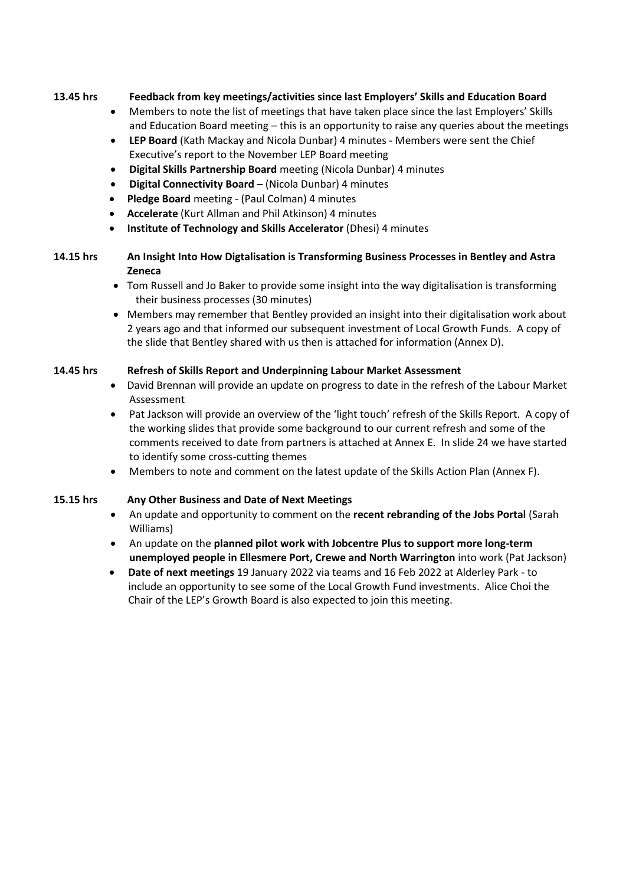## **13.45 hrs Feedback from key meetings/activities since last Employers' Skills and Education Board**

- Members to note the list of meetings that have taken place since the last Employers' Skills and Education Board meeting – this is an opportunity to raise any queries about the meetings
- **LEP Board** (Kath Mackay and Nicola Dunbar) 4 minutes Members were sent the Chief Executive's report to the November LEP Board meeting
- **Digital Skills Partnership Board** meeting (Nicola Dunbar) 4 minutes
- **Digital Connectivity Board** (Nicola Dunbar) 4 minutes
- **Pledge Board** meeting (Paul Colman) 4 minutes
- **Accelerate** (Kurt Allman and Phil Atkinson) 4 minutes
- **Institute of Technology and Skills Accelerator** (Dhesi) 4 minutes
- **14.15 hrs An Insight Into How Digtalisation is Transforming Business Processes in Bentley and Astra Zeneca**
	- Tom Russell and Jo Baker to provide some insight into the way digitalisation is transforming their business processes (30 minutes)
	- Members may remember that Bentley provided an insight into their digitalisation work about 2 years ago and that informed our subsequent investment of Local Growth Funds. A copy of the slide that Bentley shared with us then is attached for information (Annex D).

#### **14.45 hrs Refresh of Skills Report and Underpinning Labour Market Assessment**

- David Brennan will provide an update on progress to date in the refresh of the Labour Market Assessment
- Pat Jackson will provide an overview of the 'light touch' refresh of the Skills Report. A copy of the working slides that provide some background to our current refresh and some of the comments received to date from partners is attached at Annex E. In slide 24 we have started to identify some cross-cutting themes
- Members to note and comment on the latest update of the Skills Action Plan (Annex F).

# **15.15 hrs Any Other Business and Date of Next Meetings**

- An update and opportunity to comment on the **recent rebranding of the Jobs Portal** (Sarah Williams)
- An update on the **planned pilot work with Jobcentre Plus to support more long-term unemployed people in Ellesmere Port, Crewe and North Warrington** into work (Pat Jackson)
- **Date of next meetings** 19 January 2022 via teams and 16 Feb 2022 at Alderley Park to include an opportunity to see some of the Local Growth Fund investments. Alice Choi the Chair of the LEP's Growth Board is also expected to join this meeting.